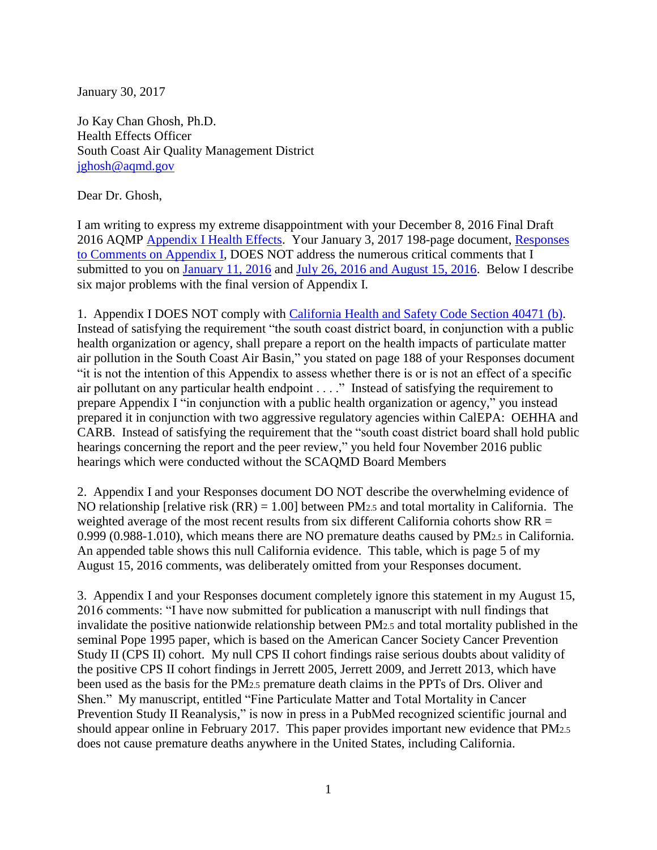January 30, 2017

Jo Kay Chan Ghosh, Ph.D. Health Effects Officer South Coast Air Quality Management District [jghosh@aqmd.gov](mailto:jghosh@aqmd.gov)

Dear Dr. Ghosh,

I am writing to express my extreme disappointment with your December 8, 2016 Final Draft 2016 AQMP [Appendix I Health Effects.](http://www.aqmd.gov/docs/default-source/clean-air-plans/air-quality-management-plans/2016-air-quality-management-plan/draft-final-aqmp/strikeout/appIdec2016.pdf?sfvrsn=6) Your January 3, 2017 198-page document, [Responses](http://www.aqmd.gov/docs/default-source/clean-air-plans/air-quality-management-plans/2016-air-quality-management-plan/response-to-comments/app1response.pdf?sfvrsn=4)  [to Comments on Appendix I,](http://www.aqmd.gov/docs/default-source/clean-air-plans/air-quality-management-plans/2016-air-quality-management-plan/response-to-comments/app1response.pdf?sfvrsn=4) DOES NOT address the numerous critical comments that I submitted to you on [January 11, 2016](http://www.scientificintegrityinstitute.org/Schwarz011116.pdf) and [July 26, 2016 and August 15, 2016.](http://www.scientificintegrityinstitute.org/AQMPJEE081516.pdf) Below I describe six major problems with the final version of Appendix I.

1. Appendix I DOES NOT comply with [California Health and Safety Code Section 40471](http://www.leginfo.ca.gov/cgi-bin/displaycode?section=hsc&group=40001-41000&file=40460-40471) (b). Instead of satisfying the requirement "the south coast district board, in conjunction with a public health organization or agency, shall prepare a report on the health impacts of particulate matter air pollution in the South Coast Air Basin," you stated on page 188 of your Responses document "it is not the intention of this Appendix to assess whether there is or is not an effect of a specific air pollutant on any particular health endpoint . . . ." Instead of satisfying the requirement to prepare Appendix I "in conjunction with a public health organization or agency," you instead prepared it in conjunction with two aggressive regulatory agencies within CalEPA: OEHHA and CARB. Instead of satisfying the requirement that the "south coast district board shall hold public hearings concerning the report and the peer review," you held four November 2016 public hearings which were conducted without the SCAQMD Board Members

2. Appendix I and your Responses document DO NOT describe the overwhelming evidence of NO relationship [relative risk (RR) = 1.00] between PM2.5 and total mortality in California. The weighted average of the most recent results from six different California cohorts show RR = 0.999 (0.988-1.010), which means there are NO premature deaths caused by PM2.5 in California. An appended table shows this null California evidence. This table, which is page 5 of my August 15, 2016 comments, was deliberately omitted from your Responses document.

3. Appendix I and your Responses document completely ignore this statement in my August 15, 2016 comments: "I have now submitted for publication a manuscript with null findings that invalidate the positive nationwide relationship between PM2.5 and total mortality published in the seminal Pope 1995 paper, which is based on the American Cancer Society Cancer Prevention Study II (CPS II) cohort. My null CPS II cohort findings raise serious doubts about validity of the positive CPS II cohort findings in Jerrett 2005, Jerrett 2009, and Jerrett 2013, which have been used as the basis for the PM2.5 premature death claims in the PPTs of Drs. Oliver and Shen." My manuscript, entitled "Fine Particulate Matter and Total Mortality in Cancer Prevention Study II Reanalysis," is now in press in a PubMed recognized scientific journal and should appear online in February 2017. This paper provides important new evidence that PM2.5 does not cause premature deaths anywhere in the United States, including California.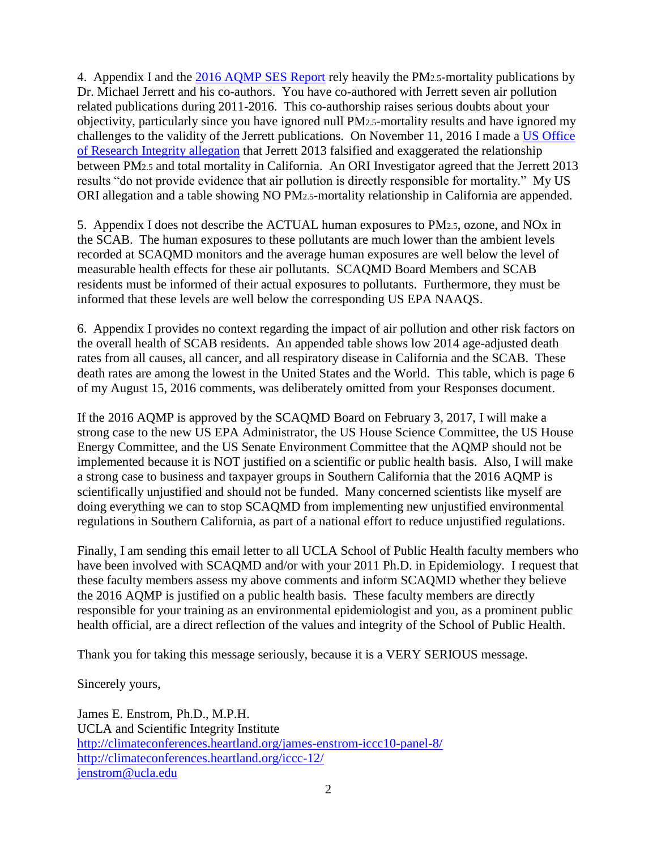4. Appendix I and the [2016 AQMP SES Report](http://www.aqmd.gov/home/library/clean-air-plans/air-quality-mgt-plan/socioeconomic-analysis) rely heavily the PM2.5-mortality publications by Dr. Michael Jerrett and his co-authors. You have co-authored with Jerrett seven air pollution related publications during 2011-2016. This co-authorship raises serious doubts about your objectivity, particularly since you have ignored null PM2.5-mortality results and have ignored my challenges to the validity of the Jerrett publications. On November 11, 2016 I made a [US Office](http://scientificintegrityinstitute.org/ORIJerrett111116.pdf)  [of Research Integrity allegation](http://scientificintegrityinstitute.org/ORIJerrett111116.pdf) that Jerrett 2013 falsified and exaggerated the relationship between PM2.5 and total mortality in California. An ORI Investigator agreed that the Jerrett 2013 results "do not provide evidence that air pollution is directly responsible for mortality." My US ORI allegation and a table showing NO PM2.5-mortality relationship in California are appended.

5. Appendix I does not describe the ACTUAL human exposures to PM2.5, ozone, and NOx in the SCAB. The human exposures to these pollutants are much lower than the ambient levels recorded at SCAQMD monitors and the average human exposures are well below the level of measurable health effects for these air pollutants. SCAQMD Board Members and SCAB residents must be informed of their actual exposures to pollutants. Furthermore, they must be informed that these levels are well below the corresponding US EPA NAAQS.

6. Appendix I provides no context regarding the impact of air pollution and other risk factors on the overall health of SCAB residents. An appended table shows low 2014 age-adjusted death rates from all causes, all cancer, and all respiratory disease in California and the SCAB. These death rates are among the lowest in the United States and the World. This table, which is page 6 of my August 15, 2016 comments, was deliberately omitted from your Responses document.

If the 2016 AQMP is approved by the SCAQMD Board on February 3, 2017, I will make a strong case to the new US EPA Administrator, the US House Science Committee, the US House Energy Committee, and the US Senate Environment Committee that the AQMP should not be implemented because it is NOT justified on a scientific or public health basis. Also, I will make a strong case to business and taxpayer groups in Southern California that the 2016 AQMP is scientifically unjustified and should not be funded. Many concerned scientists like myself are doing everything we can to stop SCAQMD from implementing new unjustified environmental regulations in Southern California, as part of a national effort to reduce unjustified regulations.

Finally, I am sending this email letter to all UCLA School of Public Health faculty members who have been involved with SCAQMD and/or with your 2011 Ph.D. in Epidemiology. I request that these faculty members assess my above comments and inform SCAQMD whether they believe the 2016 AQMP is justified on a public health basis. These faculty members are directly responsible for your training as an environmental epidemiologist and you, as a prominent public health official, are a direct reflection of the values and integrity of the School of Public Health.

Thank you for taking this message seriously, because it is a VERY SERIOUS message.

Sincerely yours,

James E. Enstrom, Ph.D., M.P.H. UCLA and Scientific Integrity Institute <http://climateconferences.heartland.org/james-enstrom-iccc10-panel-8/> <http://climateconferences.heartland.org/iccc-12/> [jenstrom@ucla.edu](mailto:jenstrom@ucla.edu)